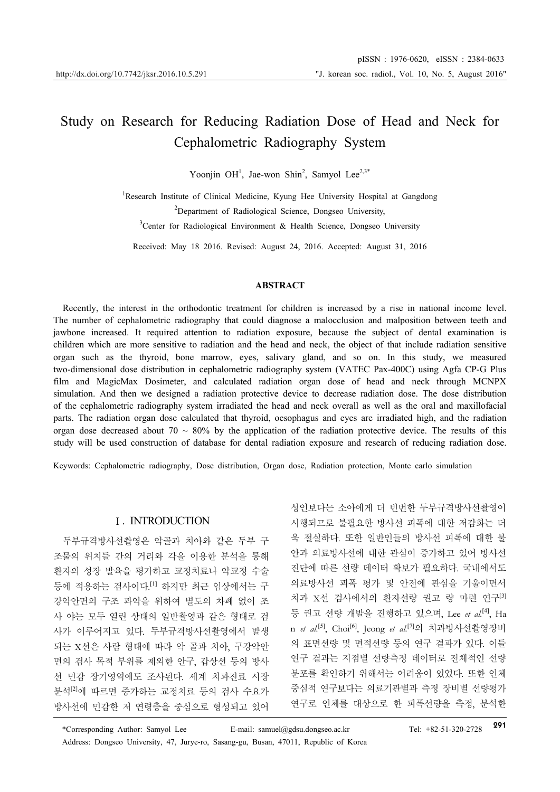# Study on Research for Reducing Radiation Dose of Head and Neck for Cephalometric Radiography System

Yoonjin OH<sup>1</sup>, Jae-won Shin<sup>2</sup>, Samyol Lee<sup>2,3\*</sup>

<sup>1</sup>Research Institute of Clinical Medicine, Kyung Hee University Hospital at Gangdong <sup>2</sup>Department of Radiological Science, Dongseo University,

<sup>3</sup>Center for Radiological Environment & Health Science, Dongseo University

Received: May 18 2016. Revised: August 24, 2016. Accepted: August 31, 2016

#### **ABSTRACT**

Recently, the interest in the orthodontic treatment for children is increased by a rise in national income level. The number of cephalometric radiography that could diagnose a malocclusion and malposition between teeth and jawbone increased. It required attention to radiation exposure, because the subject of dental examination is children which are more sensitive to radiation and the head and neck, the object of that include radiation sensitive organ such as the thyroid, bone marrow, eyes, salivary gland, and so on. In this study, we measured two-dimensional dose distribution in cephalometric radiography system (VATEC Pax-400C) using Agfa CP-G Plus film and MagicMax Dosimeter, and calculated radiation organ dose of head and neck through MCNPX simulation. And then we designed a radiation protective device to decrease radiation dose. The dose distribution of the cephalometric radiography system irradiated the head and neck overall as well as the oral and maxillofacial parts. The radiation organ dose calculated that thyroid, oesophagus and eyes are irradiated high, and the radiation organ dose decreased about 70  $\sim$  80% by the application of the radiation protective device. The results of this study will be used construction of database for dental radiation exposure and research of reducing radiation dose.

Keywords: Cephalometric radiography, Dose distribution, Organ dose, Radiation protection, Monte carlo simulation

#### Ⅰ. INTRODUCTION

두부규격방사선촬영은 악골과 치아와 같은 두부 구 조물의 위치들 간의 거리와 각을 이용한 분석을 통해 환자의 성장 발육을 평가하고 교정치료나 악교정 수술 등에 적용하는 검사이다.<sup>[1]</sup> 하지만 최근 임상에서는 구 강악안면의 구조 파악을 위하여 별도의 차폐 없이 조 사 야는 모두 열린 상태의 일반촬영과 같은 형태로 검 사가 이루어지고 있다. 두부규격방사선촬영에서 발생 되는 X선은 사람 형태에 따라 악 골과 치아, 구강악안 면의 검사 목적 부위를 제외한 안구, 갑상선 등의 방사 선 민감 장기영역에도 조사된다. 세계 치과진료 시장 분석[2]에 따르면 증가하는 교정치료 등의 검사 수요가 방사선에 민감한 저 연령층을 중심으로 형성되고 있어

성인보다는 소아에게 더 빈번한 두부규격방사선촬영이 시행되므로 불필요한 방사선 피폭에 대한 저감화는 더 욱 절실하다. 또한 일반인들의 방사선 피폭에 대한 불 안과 의료방사선에 대한 관심이 증가하고 있어 방사선 진단에 따른 선량 데이터 확보가 필요하다. 국내에서도 의료방사선 피폭 평가 및 안전에 관심을 기울이면서 치과 X선 검사에서의 환자선량 권고 량 마련 연구<sup>[3]</sup> 등 권고 선량 개발을 진행하고 있으며, Lee *et al.*[4], Ha n *et al.*[5], Choi[6], Jeong *et al.*[7]의 치과방사선촬영장비 의 표면선량 및 면적선량 등의 연구 결과가 있다. 이들 연구 결과는 지점별 선량측정 데이터로 전체적인 선량 분포를 확인하기 위해서는 어려움이 있었다. 또한 인체 중심적 연구보다는 의료기관별과 측정 장비별 선량평가 연구로 인체를 대상으로 한 피폭선량을 측정, 분석한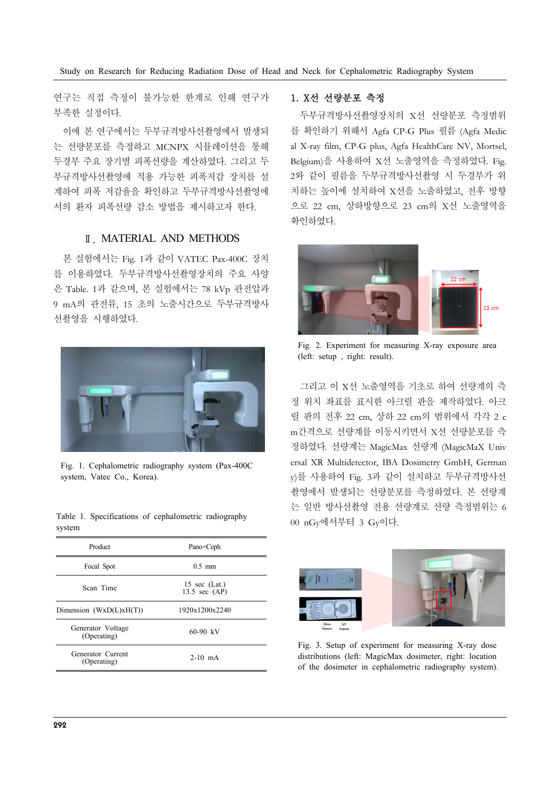연구는 직접 측정이 불가능한 한계로 인해 연구가 부족한 실정이다.

이에 본 연구에서는 두부규격방사선촬영에서 발생되 는 선량분포를 측정하고 MCNPX 시뮬레이션을 통해 두경부 주요 장기별 피폭선량을 계산하였다. 그리고 두 부규격방사선촬영에 적용 가능한 피폭저감 장치를 설 계하여 피폭 저감율을 확인하고 두부규격방사선촬영에 서의 환자 피폭선량 감소 방법을 제시하고자 한다.

## Ⅱ. MATERIAL AND METHODS

본 실험에서는 Fig. 1과 같이 VATEC Pax-400C 장치 를 이용하였다. 두부규격방사선촬영장치의 주요 사양 은 Table. 1과 같으며, 본 실험에서는 78 kVp 관전압과 9 mA의 관전류, 15 초의 노출시간으로 두부규격방사 선촬영을 시행하였다.



Fig. 1. Cephalometric radiography system (Pax-400C system, Vatec Co., Korea).

Table 1. Specifications of cephalometric radiography system

| Product                          | Pano+Ceph                          |  |  |  |
|----------------------------------|------------------------------------|--|--|--|
| Focal Spot                       | $0.5$ mm                           |  |  |  |
| Scan Time                        | 15 sec $(Lat.)$<br>13.5 sec $(AP)$ |  |  |  |
| Dimension $(WxD(L)xH(T))$        | 1920x1200x2240                     |  |  |  |
| Generator Voltage<br>(Operating) | $60-90$ kV                         |  |  |  |
| Generator Current<br>(Operating) | $2-10$ mA                          |  |  |  |

# 1. X선 선량분포 측정

두부규격방사선촬영장치의 X선 선량분포 측정범위 를 확인하기 위해서 Agfa CP-G Plus 필름 (Agfa Medic al X-ray film, CP-G plus, Agfa HealthCare NV, Mortsel, Belgium)을 사용하여 X선 노출영역을 측정하였다. Fig. 2와 같이 필름을 두부규격방사선촬영 시 두경부가 위 치하는 높이에 설치하여 X선을 노출하였고, 전후 방향 으로 22 cm, 상하방향으로 23 cm의 X선 노출영역을 확인하였다.



Fig. 2. Experiment for measuring X-ray exposure area (left: setup , right: result).

그리고 이 X선 노출영역을 기초로 하여 선량계의 측 정 위치 좌표를 표시한 아크릴 판을 제작하였다. 아크 릴 판의 전후 22 cm, 상하 22 cm의 범위에서 각각 2 c m간격으로 선량계를 이동시키면서 X선 선량분포를 측 정하였다. 선량계는 MagicMax 선량계 (MagicMaX Univ ersal XR Multidetector, IBA Dosimetry GmbH, German y)를 사용하여 Fig. 3과 같이 설치하고 두부규격방사선 촬영에서 발생되는 선량분포를 측정하였다. 본 선량계 는 일반 방사선촬영 전용 선량계로 선량 측정범위는 6 00 nGy에서부터 3 Gy이다.



Fig. 3. Setup of experiment for measuring X-ray dose distributions (left: MagicMax dosimeter, right: location of the dosimeter in cephalometric radiography system).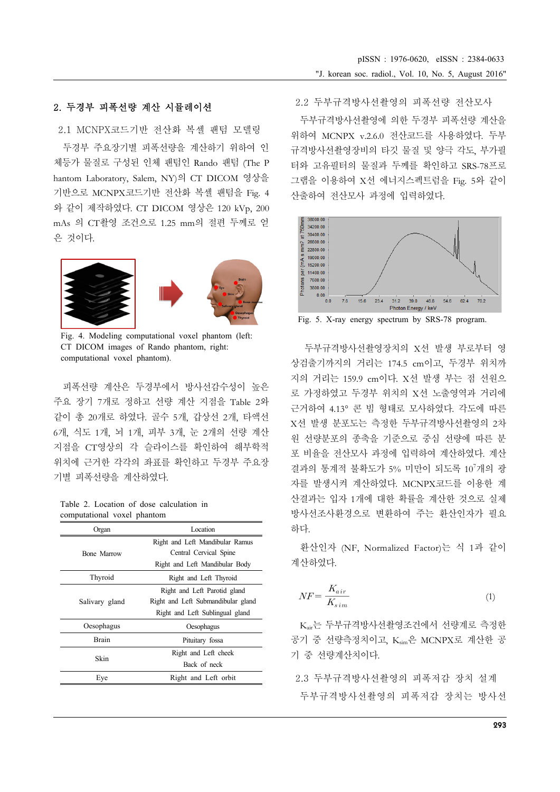# 2. 두경부 피폭선량 계산 시뮬레이션

2.1 MCNPX코드기반 전산화 복셀 팬텀 모델링

두경부 주요장기별 피폭선량을 계산하기 위하여 인 체등가 물질로 구성된 인체 팬텀인 Rando 팬텀 (The P hantom Laboratory, Salem, NY)의 CT DICOM 영상을 기반으로 MCNPX코드기반 전산화 복셀 팬텀을 Fig. 4 와 같이 제작하였다. CT DICOM 영상은 120 kVp, 200 mAs 의 CT촬영 조건으로 1.25 mm의 절편 두께로 얻 은 것이다.



Fig. 4. Modeling computational voxel phantom (left: CT DICOM images of Rando phantom, right: computational voxel phantom).

피폭선량 계산은 두경부에서 방사선감수성이 높은 주요 장기 7개로 정하고 선량 계산 지점을 Table 2와 같이 총 20개로 하였다. 골수 5개, 갑상선 2개, 타액선 6개, 식도 1개, 뇌 1개, 피부 3개, 눈 2개의 선량 계산 지점을 CT영상의 각 슬라이스를 확인하여 해부학적 위치에 근거한 각각의 좌표를 확인하고 두경부 주요장 기별 피폭선량을 계산하였다.

Table 2. Location of dose calculation in computational voxel phantom

| Location                           |  |  |  |
|------------------------------------|--|--|--|
| Right and Left Mandibular Ramus    |  |  |  |
| Central Cervical Spine             |  |  |  |
| Right and Left Mandibular Body     |  |  |  |
| Right and Left Thyroid             |  |  |  |
| Right and Left Parotid gland       |  |  |  |
| Right and Left Submandibular gland |  |  |  |
| Right and Left Sublingual gland    |  |  |  |
| Oesophagus                         |  |  |  |
| Pituitary fossa                    |  |  |  |
| Right and Left cheek               |  |  |  |
| Back of neck                       |  |  |  |
| Right and Left orbit               |  |  |  |
|                                    |  |  |  |

2.2 두부규격방사선촬영의 피폭선량 전산모사

두부규격방사선촬영에 의한 두경부 피폭선량 계산을 위하여 MCNPX v.2.6.0 전산코드를 사용하였다. 두부 규격방사선촬영장비의 타깃 물질 및 양극 각도, 부가필 터와 고유필터의 물질과 두께를 확인하고 SRS-78프로 그램을 이용하여 X선 에너지스펙트럼을 Fig. 5와 같이 산출하여 전산모사 과정에 입력하였다.



Fig. 5. X-ray energy spectrum by SRS-78 program.

두부규격방사선촬영장치의 X선 발생 부로부터 영 상검출기까지의 거리는 174.5 cm이고, 두경부 위치까 지의 거리는 159.9 cm이다. X선 발생 부는 점 선원으 로 가정하였고 두경부 위치의 X선 노출영역과 거리에 근거하여 4.13° 콘 빔 형태로 모사하였다. 각도에 따른 X선 발생 분포도는 측정한 두부규격방사선촬영의 2차 원 선량분포의 종축을 기준으로 중심 선량에 따른 분 포 비율을 전산모사 과정에 입력하여 계산하였다. 계산 결과의 통계적 불확도가 5% 미만이 되도록 107 개의 광 자를 발생시켜 계산하였다. MCNPX코드를 이용한 계 산결과는 입자 1개에 대한 확률을 계산한 것으로 실제 방사선조사환경으로 변환하여 주는 환산인자가 필요 하다.

환산인자 (NF, Normalized Factor)는 식 1과 같이 계산하였다.

$$
NF = \frac{K_{air}}{K_{sim}} \tag{1}
$$

Kair는 두부규격방사선촬영조건에서 선량계로 측정한 공기 중 선량측정치이고, Ksim은 MCNPX로 계산한 공 기 중 선량계산치이다.

2.3 두부규격방사선촬영의 피폭저감 장치 설계 두부규격방사선촬영의 피폭저감 장치는 방사선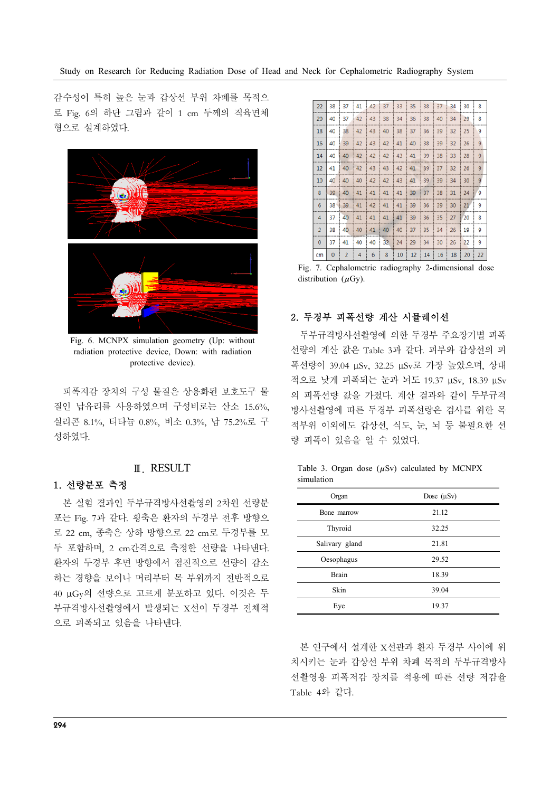감수성이 특히 높은 눈과 갑상선 부위 차폐를 목적으 로 Fig. 6의 하단 그림과 같이 1 cm 두께의 직육면체 형으로 설계하였다.



Fig. 6. MCNPX simulation geometry (Up: without radiation protective device, Down: with radiation protective device).

피폭저감 장치의 구성 물질은 상용화된 보호도구 물 질인 납유리를 사용하였으며 구성비로는 산소 15.6%, 실리콘 8.1%, 티타늄 0.8%, 비소 0.3%, 납 75.2%로 구 성하였다.

# Ⅲ. RESULT

#### 1. 선량분포 측정

본 실험 결과인 두부규격방사선촬영의 2차원 선량분 포는 Fig. 7과 같다. 횡축은 환자의 두경부 전후 방향으 로 22 cm, 종축은 상하 방향으로 22 cm로 두경부를 모 두 포함하며, 2 cm간격으로 측정한 선량을 나타낸다. 환자의 두경부 후면 방향에서 점진적으로 선량이 감소 하는 경향을 보이나 머리부터 목 부위까지 전반적으로 40 μGy의 선량으로 고르게 분포하고 있다. 이것은 두 부규격방사선촬영에서 발생되는 X선이 두경부 전체적 으로 피폭되고 있음을 나타낸다.

| 22             | 38 | 37 i           |    | 41 42 | 37 | $33 \mid$ | 35 | 38 | 37 | 34 | 30 | 8              |
|----------------|----|----------------|----|-------|----|-----------|----|----|----|----|----|----------------|
| 20             | 40 | 37             | 42 | 43    | 38 | 34        | 36 | 38 | 40 | 34 | 29 | 8              |
| 18             | 40 | 38             | 42 | 43    | 40 | 38        | 37 | 36 | 39 | 32 | 25 | 9              |
| 16             | 40 | 39             | 42 | 43    | 42 | 41        | 40 | 38 | 39 | 32 | 26 | 9              |
| 14             | 40 | 40             | 42 | 42    | 42 | 43        | 41 | 39 | 38 | 33 | 28 | 9              |
| 12             | 41 | 40             | 42 | 43    | 43 | 42        | 41 | 39 | 37 | 32 | 26 | 9              |
| 10             | 40 | 40             | 40 | 42    | 42 | 43        | 41 | 39 | 39 | 34 | 30 | $\overline{9}$ |
| 8              | 39 | 40             | 41 | 41    | 41 | 41        | 39 | 37 | 38 | 31 | 24 | 9              |
| 6              | 38 | 39             | 41 | 42    | 41 | 41        | 39 | 36 | 39 | 30 | 21 | 9              |
| 4              | 37 | 40             | 41 | 41    | 41 | 41        | 39 | 36 | 35 | 27 | 20 | 8              |
| $\overline{2}$ | 38 | 40             | 40 | 41    | 40 | 40        | 37 | 35 | 34 | 26 | 19 | 9              |
| $\bf{0}$       | 37 | 41             | 40 | 40    | 32 | 24        | 29 | 34 | 30 | 26 | 22 | 9              |
| cm             | 0  | $\overline{a}$ | 4  | 6     | 8  | 10        | 12 | 14 | 16 | 18 | 20 | 22             |

Fig. 7. Cephalometric radiography 2-dimensional dose distribution  $(\mu Gy)$ .

### 2. 두경부 피폭선량 계산 시뮬레이션

두부규격방사선촬영에 의한 두경부 주요장기별 피폭 선량의 계산 값은 Table 3과 같다. 피부와 갑상선의 피 폭선량이 39.04 μSv, 32.25 μSv로 가장 높았으며, 상대 적으로 낮게 피폭되는 눈과 뇌도 19.37 μSv, 18.39 μSv 의 피폭선량 값을 가졌다. 계산 결과와 같이 두부규격 방사선촬영에 따른 두경부 피폭선량은 검사를 위한 목 적부위 이외에도 갑상선, 식도, 눈, 뇌 등 불필요한 선 량 피폭이 있음을 알 수 있었다.

|            |  |  | Table 3. Organ dose $(\mu Sv)$ calculated by MCNPX |  |
|------------|--|--|----------------------------------------------------|--|
| simulation |  |  |                                                    |  |

| Organ          | Dose $(\mu Sv)$ |  |  |
|----------------|-----------------|--|--|
| Bone marrow    | 21.12           |  |  |
| Thyroid        | 32.25           |  |  |
| Salivary gland | 21.81           |  |  |
| Oesophagus     | 29.52           |  |  |
| Brain          | 18.39           |  |  |
| Skin           | 39.04           |  |  |
| Eye            | 19.37           |  |  |

본 연구에서 설계한 X선관과 환자 두경부 사이에 위 치시키는 눈과 갑상선 부위 차폐 목적의 두부규격방사 선촬영용 피폭저감 장치를 적용에 따른 선량 저감율 Table 4와 같다.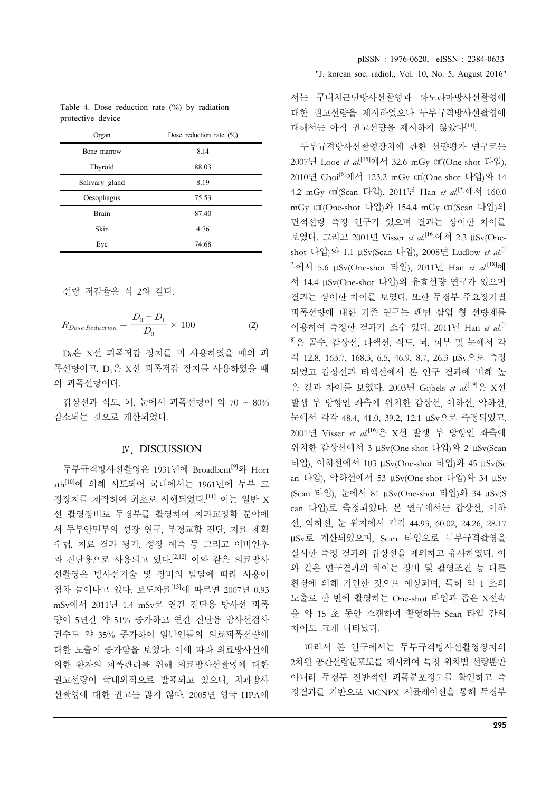| Organ          | Dose reduction rate $(\% )$ |
|----------------|-----------------------------|
| Bone marrow    | 8.14                        |
| Thyroid        | 88.03                       |
| Salivary gland | 8.19                        |
| Oesophagus     | 75.53                       |
| Brain          | 87.40                       |
| Skin           | 4.76                        |
| Eye            | 74.68                       |

Table 4. Dose reduction rate (%) by radiation protective device

선량 저감율은 식 2와 같다.

선량 지{ষ을은 식 2와 갈다.  
\n
$$
R_{Dose\,Reduction} = \frac{D_0 - D_1}{D_0} \times 100
$$
\n(2)

D0은 X선 피폭저감 장치를 미 사용하였을 때의 피 폭선량이고, D1은 X선 피폭저감 장치를 사용하였을 때 의 피폭선량이다.

갑상선과 식도, 뇌, 눈에서 피폭선량이 약 70 ~ 80% 감소되는 것으로 계산되었다.

#### Ⅳ. DISCUSSION

두부규격방사선촬영은 1931년에 Broadbent<sup>[9]</sup>와 Horr ath[10]에 의해 시도되어 국내에서는 1961년에 두부 고 정장치를 제작하여 최초로 시행되었다. [11] 이는 일반 X 선 촬영장비로 두경부를 촬영하여 치과교정학 분야에 서 두부안면부의 성장 연구, 부정교합 진단, 치료 계획 수립, 치료 결과 평가, 성장 예측 등 그리고 이비인후 과 진단용으로 사용되고 있다.<sup>[2,12]</sup> 이와 같은 의료방사 선촬영은 방사선기술 및 장비의 발달에 따라 사용이 점차 늘어나고 있다. 보도자료[13]에 따르면 2007년 0.93 mSv에서 2011년 1.4 mSv로 연간 진단용 방사선 피폭 량이 5년간 약 51% 증가하고 연간 진단용 방사선검사 건수도 약 35% 증가하여 일반인들의 의료피폭선량에 대한 노출이 증가함을 보였다. 이에 따라 의료방사선에 의한 환자의 피폭관리를 위해 의료방사선촬영에 대한 권고선량이 국내외적으로 발표되고 있으나, 치과방사 선촬영에 대한 권고는 많지 않다. 2005년 영국 HPA에

서는 구내치근단방사선촬영과 파노라마방사선촬영에 대한 권고선량을 제시하였으나 두부규격방사선촬영에 대해서는 아직 권고선량을 제시하지 않았다[14].

두부규격방사선촬영장치에 관한 선량평가 연구로는 2007년 Looe *et al.*[15]에서 32.6 mGy ㎠(One-shot 타입), 2010년 Choi[6]에서 123.2 mGy ㎠(One-shot 타입)와 14 4.2 mGy ㎠(Scan 타입), 2011년 Han *et al.*[5]에서 160.0 mGy ㎠(One-shot 타입)와 154.4 mGy ㎠(Scan 타입)의 면적선량 측정 연구가 있으며 결과는 상이한 차이를 보였다. 그리고 2001년 Visser *et al.*[16]에서 2.3 μSv(Oneshot 타입)와 1.1 μSv(Scan 타입), 2008년 Ludlow *et al.*[1 7]에서 5.6 μSv(One-shot 타입), 2011년 Han *et al.*[18]에 서 14.4 μSv(One-shot 타입)의 유효선량 연구가 있으며 결과는 상이한 차이를 보였다. 또한 두경부 주요장기별 피폭선량에 대한 기존 연구는 팬텀 삽입 형 선량계를 이용하여 측정한 결과가 소수 있다. 2011년 Han *et al.*[1 8]은 골수, 갑상선, 타액선, 식도, 뇌, 피부 및 눈에서 각 각 12.8, 163.7, 168.3, 6.5, 46.9, 8.7, 26.3 μSv으로 측정 되었고 갑상선과 타액선에서 본 연구 결과에 비해 높 은 값과 차이를 보였다. 2003년 Gijbels *et al.*[19]은 X선 발생 부 방향인 좌측에 위치한 갑상선, 이하선, 악하선, 눈에서 각각 48.4, 41.0, 39.2, 12.1 μSv으로 측정되었고, 2001년 Visser *et al.*[16]은 X선 발생 부 방향인 좌측에 위치한 갑상선에서 3 μSv(One-shot 타입)와 2 μSv(Scan 타입), 이하선에서 103 μSv(One-shot 타입)와 45 μSv(Sc an 타입), 악하선에서 53 μSv(One-shot 타입)와 34 μSv (Scan 타입), 눈에서 81 μSv(One-shot 타입)와 34 μSv(S can 타입)로 측정되었다. 본 연구에서는 갑상선, 이하 선, 악하선, 눈 위치에서 각각 44.93, 60.02, 24.26, 28.17 μSv로 계산되었으며, Scan 타입으로 두부규격촬영을 실시한 측정 결과와 갑상선을 제외하고 유사하였다. 이 와 같은 연구결과의 차이는 장비 및 촬영조건 등 다른 환경에 의해 기인한 것으로 예상되며, 특히 약 1 초의 노출로 한 번에 촬영하는 One-shot 타입과 좁은 X선속 을 약 15 초 동안 스캔하여 촬영하는 Scan 타입 간의 차이도 크게 나타났다.

따라서 본 연구에서는 두부규격방사선촬영장치의 2차원 공간선량분포도를 제시하여 특정 위치별 선량뿐만 아니라 두경부 전반적인 피폭분포정도를 확인하고 측 정결과를 기반으로 MCNPX 시뮬레이션을 통해 두경부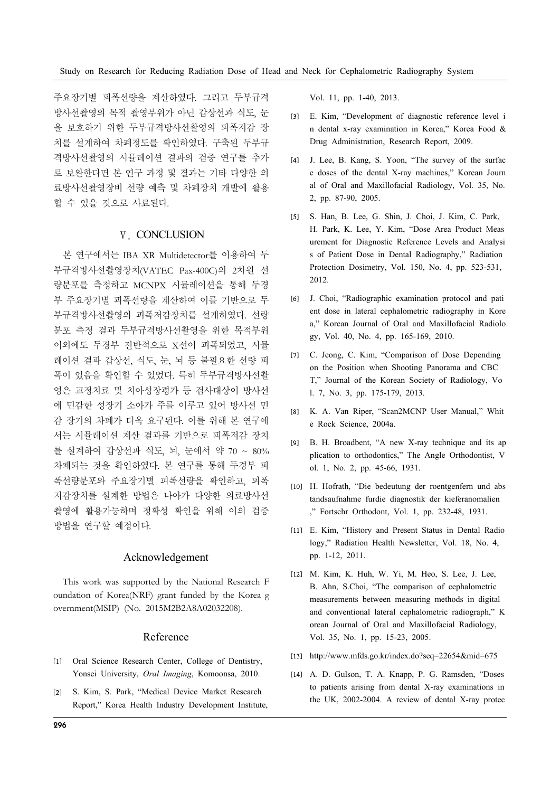주요장기별 피폭선량을 계산하였다. 그리고 두부규격 방사선촬영의 목적 촬영부위가 아닌 갑상선과 식도, 눈 을 보호하기 위한 두부규격방사선촬영의 피폭저감 장 치를 설계하여 차폐정도를 확인하였다. 구축된 두부규 격방사선촬영의 시뮬레이션 결과의 검증 연구를 추가 로 보완한다면 본 연구 과정 및 결과는 기타 다양한 의 료방사선촬영장비 선량 예측 및 차폐장치 개발에 활용 할 수 있을 것으로 사료된다.

#### Ⅴ. CONCLUSION

본 연구에서는 IBA XR Multidetector를 이용하여 두 부규격방사선촬영장치(VATEC Pax-400C)의 2차원 선 량분포를 측정하고 MCNPX 시뮬레이션을 통해 두경 부 주요장기별 피폭선량을 계산하여 이를 기반으로 두 부규격방사선촬영의 피폭저감장치를 설계하였다. 선량 분포 측정 결과 두부규격방사선촬영을 위한 목적부위 이외에도 두경부 전반적으로 X선이 피폭되었고, 시뮬 레이션 결과 갑상선, 식도, 눈, 뇌 등 불필요한 선량 피 폭이 있음을 확인할 수 있었다. 특히 두부규격방사선촬 영은 교정치료 및 치아성장평가 등 검사대상이 방사선 에 민감한 성장기 소아가 주를 이루고 있어 방사선 민 감 장기의 차폐가 더욱 요구된다. 이를 위해 본 연구에 서는 시뮬레이션 계산 결과를 기반으로 피폭저감 장치 를 설계하여 갑상선과 식도, 뇌, 눈에서 약 70 ~ 80% 차폐되는 것을 확인하였다. 본 연구를 통해 두경부 피 폭선량분포와 주요장기별 피폭선량을 확인하고, 피폭 저감장치를 설계한 방법은 나아가 다양한 의료방사선 촬영에 활용가능하며 정확성 확인을 위해 이의 검증 방법을 연구할 예정이다.

#### Acknowledgement

This work was supported by the National Research F oundation of Korea(NRF) grant funded by the Korea g overnment(MSIP) (No. 2015M2B2A8A02032208).

### Reference

- [1] Oral Science Research Center, College of Dentistry, Yonsei University, *Oral Imaging*, Komoonsa, 2010.
- [2] S. Kim, S. Park, "Medical Device Market Research Report," Korea Health Industry Development Institute,

Vol. 11, pp. 1-40, 2013.

- [3] E. Kim, "Development of diagnostic reference level i n dental x-ray examination in Korea," Korea Food & Drug Administration, Research Report, 2009.
- [4] J. Lee, B. Kang, S. Yoon, "The survey of the surfac e doses of the dental X-ray machines," Korean Journ al of Oral and Maxillofacial Radiology, Vol. 35, No. 2, pp. 87-90, 2005.
- [5] S. Han, B. Lee, G. Shin, J. Choi, J. Kim, C. Park, H. Park, K. Lee, Y. Kim, "Dose Area Product Meas urement for Diagnostic Reference Levels and Analysi s of Patient Dose in Dental Radiography," Radiation Protection Dosimetry, Vol. 150, No. 4, pp. 523-531, 2012.
- [6] J. Choi, "Radiographic examination protocol and pati ent dose in lateral cephalometric radiography in Kore a," Korean Journal of Oral and Maxillofacial Radiolo gy, Vol. 40, No. 4, pp. 165-169, 2010.
- [7] C. Jeong, C. Kim, "Comparison of Dose Depending on the Position when Shooting Panorama and CBC T," Journal of the Korean Society of Radiology, Vo l. 7, No. 3, pp. 175-179, 2013.
- [8] K. A. Van Riper, "Scan2MCNP User Manual," Whit e Rock Science, 2004a.
- [9] B. H. Broadbent, "A new X-ray technique and its ap plication to orthodontics," The Angle Orthodontist, V ol. 1, No. 2, pp. 45-66, 1931.
- [10] H. Hofrath, "Die bedeutung der roentgenfern und abs tandsaufnahme furdie diagnostik der kieferanomalien ," Fortschr Orthodont, Vol. 1, pp. 232-48, 1931.
- [11] E. Kim, "History and Present Status in Dental Radio logy," Radiation Health Newsletter, Vol. 18, No. 4, pp. 1-12, 2011.
- [12] M. Kim, K. Huh, W. Yi, M. Heo, S. Lee, J. Lee, B. Ahn, S.Choi, "The comparison of cephalometric measurements between measuring methods in digital and conventional lateral cephalometric radiograph," K orean Journal of Oral and Maxillofacial Radiology, Vol. 35, No. 1, pp. 15-23, 2005.
- [13] http://www.mfds.go.kr/index.do?seq=22654&mid=675
- [14] A. D. Gulson, T. A. Knapp, P. G. Ramsden, "Doses to patients arising from dental X-ray examinations in the UK, 2002-2004. A review of dental X-ray protec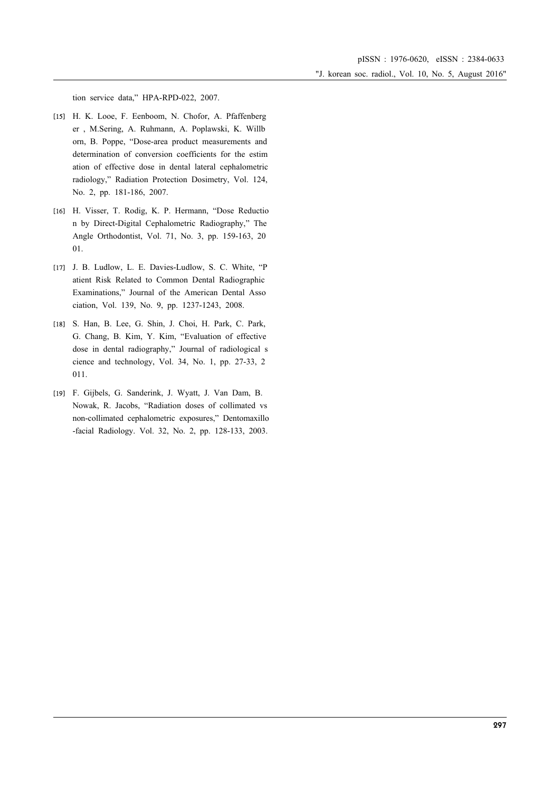"J. korean soc. radiol., Vol. 10, No. 5, August 2016"

tion service data," HPA-RPD-022, 2007.

- [15] H. K. Looe, F. Eenboom, N. Chofor, A. Pfaffenberg er , M.Sering, A. Ruhmann, A. Poplawski, K. Willb orn, B. Poppe, "Dose-area product measurements and determination of conversion coefficients for the estim ation of effective dose in dental lateral cephalometric radiology," Radiation Protection Dosimetry, Vol. 124, No. 2, pp. 181-186, 2007.
- [16] H. Visser, T. Rodig, K. P. Hermann, "Dose Reductio n by Direct-Digital Cephalometric Radiography," The Angle Orthodontist, Vol. 71, No. 3, pp. 159-163, 20 01.
- [17] J. B. Ludlow, L. E. Davies-Ludlow, S. C. White, "P atient Risk Related to Common Dental Radiographic Examinations," Journal of the American Dental Asso ciation, Vol. 139, No. 9, pp. 1237-1243, 2008.
- [18] S. Han, B. Lee, G. Shin, J. Choi, H. Park, C. Park, G. Chang, B. Kim, Y. Kim, "Evaluation of effective dose in dental radiography," Journal of radiological s cience and technology, Vol. 34, No. 1, pp. 27-33, 2 011.
- [19] F. Gijbels, G. Sanderink, J. Wyatt, J. Van Dam, B. Nowak, R. Jacobs, "Radiation doses of collimated vs non-collimated cephalometric exposures," Dentomaxillo -facial Radiology. Vol. 32, No. 2, pp. 128-133, 2003.